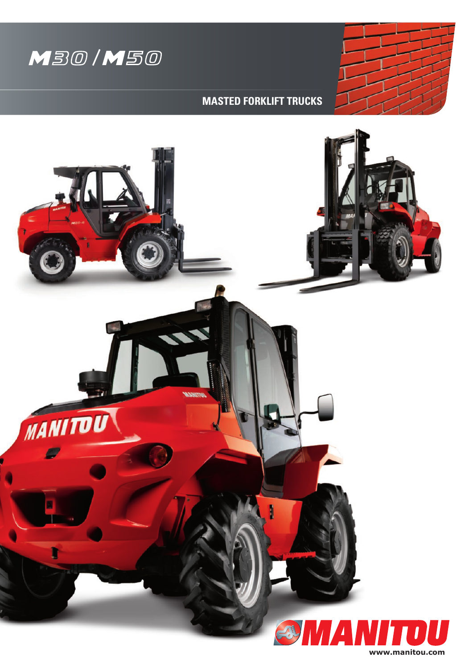



**MASTED FORKLIFT TRUCKS**